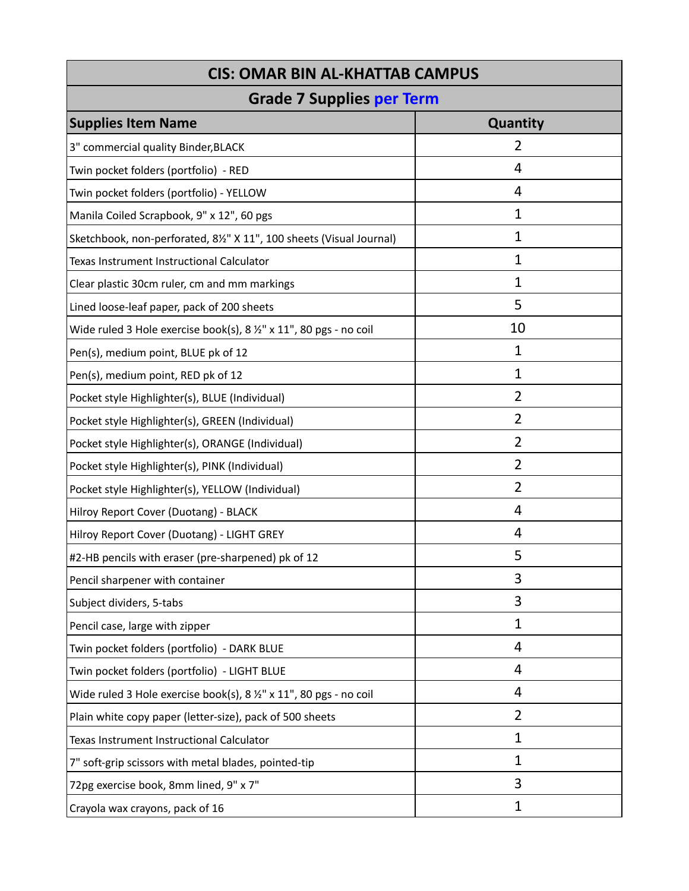| <b>CIS: OMAR BIN AL-KHATTAB CAMPUS</b>                                       |                |  |
|------------------------------------------------------------------------------|----------------|--|
| <b>Grade 7 Supplies per Term</b>                                             |                |  |
| <b>Supplies Item Name</b>                                                    | Quantity       |  |
| 3" commercial quality Binder, BLACK                                          | $\overline{2}$ |  |
| Twin pocket folders (portfolio) - RED                                        | 4              |  |
| Twin pocket folders (portfolio) - YELLOW                                     | 4              |  |
| Manila Coiled Scrapbook, 9" x 12", 60 pgs                                    | $\mathbf 1$    |  |
| Sketchbook, non-perforated, 81/2" X 11", 100 sheets (Visual Journal)         | 1              |  |
| Texas Instrument Instructional Calculator                                    | 1              |  |
| Clear plastic 30cm ruler, cm and mm markings                                 | $\mathbf 1$    |  |
| Lined loose-leaf paper, pack of 200 sheets                                   | 5              |  |
| Wide ruled 3 Hole exercise book(s), $8\frac{1}{2}$ " x 11", 80 pgs - no coil | 10             |  |
| Pen(s), medium point, BLUE pk of 12                                          | 1              |  |
| Pen(s), medium point, RED pk of 12                                           | $\mathbf{1}$   |  |
| Pocket style Highlighter(s), BLUE (Individual)                               | $\overline{2}$ |  |
| Pocket style Highlighter(s), GREEN (Individual)                              | $\overline{2}$ |  |
| Pocket style Highlighter(s), ORANGE (Individual)                             | $\overline{2}$ |  |
| Pocket style Highlighter(s), PINK (Individual)                               | $\overline{2}$ |  |
| Pocket style Highlighter(s), YELLOW (Individual)                             | $\overline{2}$ |  |
| Hilroy Report Cover (Duotang) - BLACK                                        | 4              |  |
| Hilroy Report Cover (Duotang) - LIGHT GREY                                   | 4              |  |
| #2-HB pencils with eraser (pre-sharpened) pk of 12                           | 5              |  |
| Pencil sharpener with container                                              | 3              |  |
| Subject dividers, 5-tabs                                                     | 3              |  |
| Pencil case, large with zipper                                               | $\mathbf 1$    |  |
| Twin pocket folders (portfolio) - DARK BLUE                                  | 4              |  |
| Twin pocket folders (portfolio) - LIGHT BLUE                                 | 4              |  |
| Wide ruled 3 Hole exercise book(s), 8 1/2" x 11", 80 pgs - no coil           | 4              |  |
| Plain white copy paper (letter-size), pack of 500 sheets                     | 2              |  |
| Texas Instrument Instructional Calculator                                    | $\mathbf 1$    |  |
| 7" soft-grip scissors with metal blades, pointed-tip                         | $\mathbf 1$    |  |
| 72pg exercise book, 8mm lined, 9" x 7"                                       | 3              |  |
| Crayola wax crayons, pack of 16                                              | $\mathbf{1}$   |  |